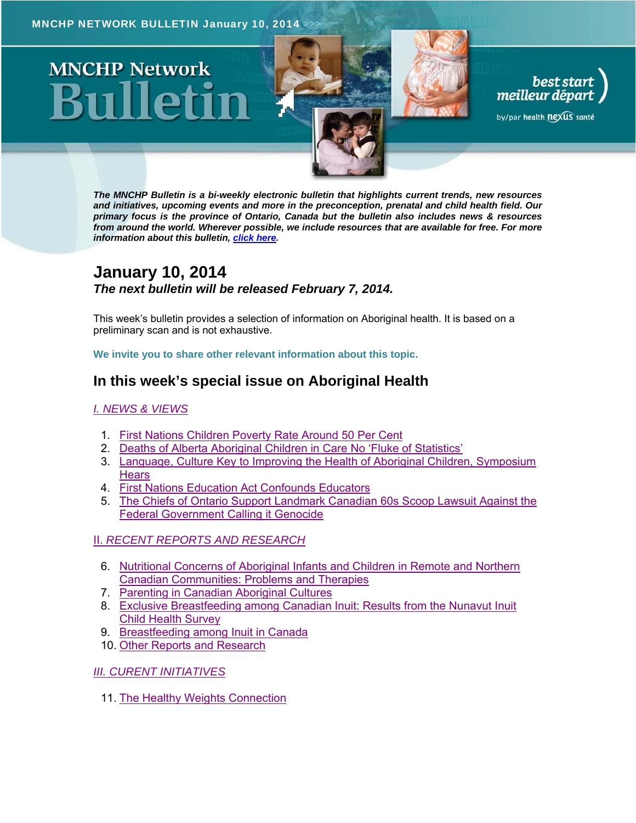# **MNCHP Network**

*The MNCHP Bulletin is a bi-weekly electronic bulletin that highlights current trends, new resources and initiatives, upcoming events and more in the preconception, prenatal and child health field. Our primary focus is the province of Ontario, Canada but the bulletin also includes news & resources from around the world. Wherever possible, we include resources that are available for free. For more information about this bulletin, click here.*

best start<br>meilleur départ

by/par health nexus santé

# **January 10, 2014**  *The next bulletin will be released February 7, 2014.*

This week's bulletin provides a selection of information on Aboriginal health. It is based on a preliminary scan and is not exhaustive.

**We invite you to share other relevant information about this topic.** 

# **In this week's special issue on Aboriginal Health**

#### *I. NEWS & VIEWS*

- 1. First Nations Children Poverty Rate Around 50 Per Cent
- 2. Deaths of Alberta Aboriginal Children in Care No 'Fluke of Statistics'
- 3. Language, Culture Key to Improving the Health of Aboriginal Children, Symposium **Hears**
- 4. First Nations Education Act Confounds Educators
- 5. The Chiefs of Ontario Support Landmark Canadian 60s Scoop Lawsuit Against the Federal Government Calling it Genocide

### II. *RECENT REPORTS AND RESEARCH*

- 6. Nutritional Concerns of Aboriginal Infants and Children in Remote and Northern Canadian Communities: Problems and Therapies
- 7. Parenting in Canadian Aboriginal Cultures
- 8. Exclusive Breastfeeding among Canadian Inuit: Results from the Nunavut Inuit Child Health Survey
- 9. Breastfeeding among Inuit in Canada
- 10. Other Reports and Research

#### *III. CURENT INITIATIVES*

11. The Healthy Weights Connection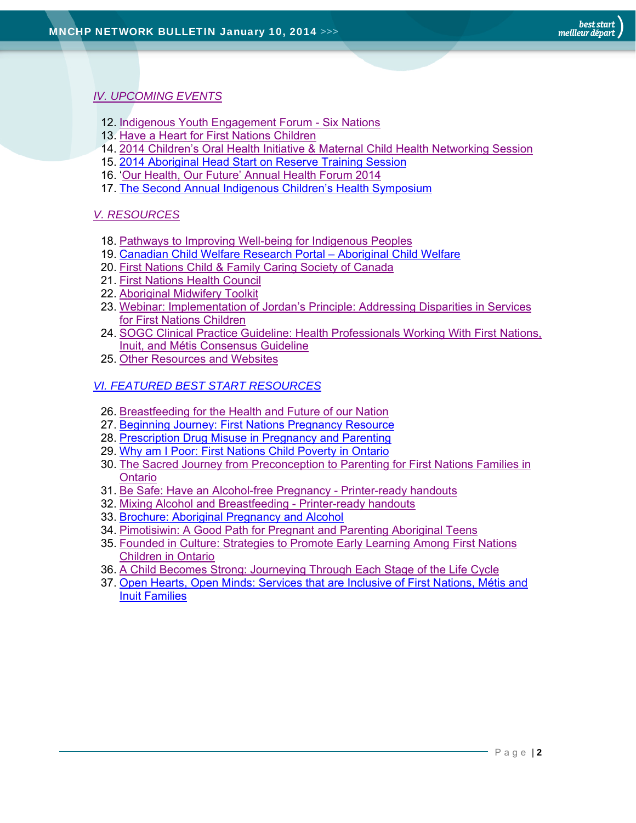#### *IV. UPCOMING EVENTS*

- 12. Indigenous Youth Engagement Forum Six Nations
- 13. Have a Heart for First Nations Children
- 14. 2014 Children's Oral Health Initiative & Maternal Child Health Networking Session
- 15. 2014 Aboriginal Head Start on Reserve Training Session
- 16. 'Our Health, Our Future' Annual Health Forum 2014
- 17. The Second Annual Indigenous Children's Health Symposium

#### *V. RESOURCES*

- 18. Pathways to Improving Well-being for Indigenous Peoples
- 19. Canadian Child Welfare Research Portal Aboriginal Child Welfare
- 20. First Nations Child & Family Caring Society of Canada
- 21. First Nations Health Council
- 22. Aboriginal Midwifery Toolkit
- 23. Webinar: Implementation of Jordan's Principle: Addressing Disparities in Services for First Nations Children
- 24. SOGC Clinical Practice Guideline: Health Professionals Working With First Nations, Inuit, and Métis Consensus Guideline
- 25. Other Resources and Websites

#### *VI. FEATURED BEST START RESOURCES*

- 26. Breastfeeding for the Health and Future of our Nation
- 27. Beginning Journey: First Nations Pregnancy Resource
- 28. Prescription Drug Misuse in Pregnancy and Parenting
- 29. Why am I Poor: First Nations Child Poverty in Ontario
- 30. The Sacred Journey from Preconception to Parenting for First Nations Families in Ontario
- 31. Be Safe: Have an Alcohol-free Pregnancy Printer-ready handouts
- 32. Mixing Alcohol and Breastfeeding Printer-ready handouts
- 33. Brochure: Aboriginal Pregnancy and Alcohol
- 34. Pimotisiwin: A Good Path for Pregnant and Parenting Aboriginal Teens
- 35. Founded in Culture: Strategies to Promote Early Learning Among First Nations Children in Ontario
- 36. A Child Becomes Strong: Journeying Through Each Stage of the Life Cycle
- 37. Open Hearts, Open Minds: Services that are Inclusive of First Nations, Métis and Inuit Families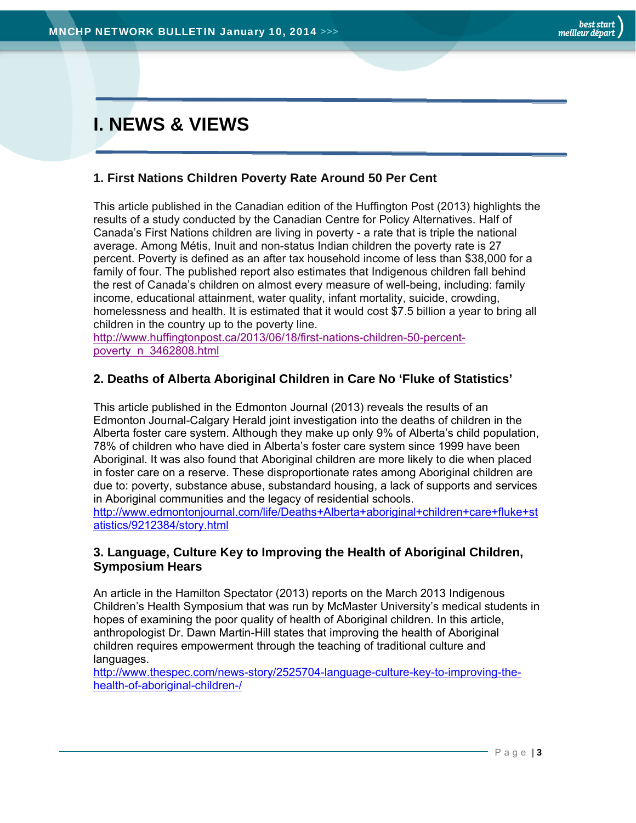# **I. NEWS & VIEWS**

## **1. First Nations Children Poverty Rate Around 50 Per Cent**

This article published in the Canadian edition of the Huffington Post (2013) highlights the results of a study conducted by the Canadian Centre for Policy Alternatives. Half of Canada's First Nations children are living in poverty - a rate that is triple the national average. Among Métis, Inuit and non-status Indian children the poverty rate is 27 percent. Poverty is defined as an after tax household income of less than \$38,000 for a family of four. The published report also estimates that Indigenous children fall behind the rest of Canada's children on almost every measure of well-being, including: family income, educational attainment, water quality, infant mortality, suicide, crowding, homelessness and health. It is estimated that it would cost \$7.5 billion a year to bring all children in the country up to the poverty line.

http://www.huffingtonpost.ca/2013/06/18/first-nations-children-50-percentpoverty\_n\_3462808.html

# **2. Deaths of Alberta Aboriginal Children in Care No 'Fluke of Statistics'**

This article published in the Edmonton Journal (2013) reveals the results of an Edmonton Journal-Calgary Herald joint investigation into the deaths of children in the Alberta foster care system. Although they make up only 9% of Alberta's child population, 78% of children who have died in Alberta's foster care system since 1999 have been Aboriginal. It was also found that Aboriginal children are more likely to die when placed in foster care on a reserve. These disproportionate rates among Aboriginal children are due to: poverty, substance abuse, substandard housing, a lack of supports and services in Aboriginal communities and the legacy of residential schools. http://www.edmontonjournal.com/life/Deaths+Alberta+aboriginal+children+care+fluke+st atistics/9212384/story.html

### **3. Language, Culture Key to Improving the Health of Aboriginal Children, Symposium Hears**

An article in the Hamilton Spectator (2013) reports on the March 2013 Indigenous Children's Health Symposium that was run by McMaster University's medical students in hopes of examining the poor quality of health of Aboriginal children. In this article, anthropologist Dr. Dawn Martin-Hill states that improving the health of Aboriginal children requires empowerment through the teaching of traditional culture and languages.

http://www.thespec.com/news-story/2525704-language-culture-key-to-improving-thehealth-of-aboriginal-children-/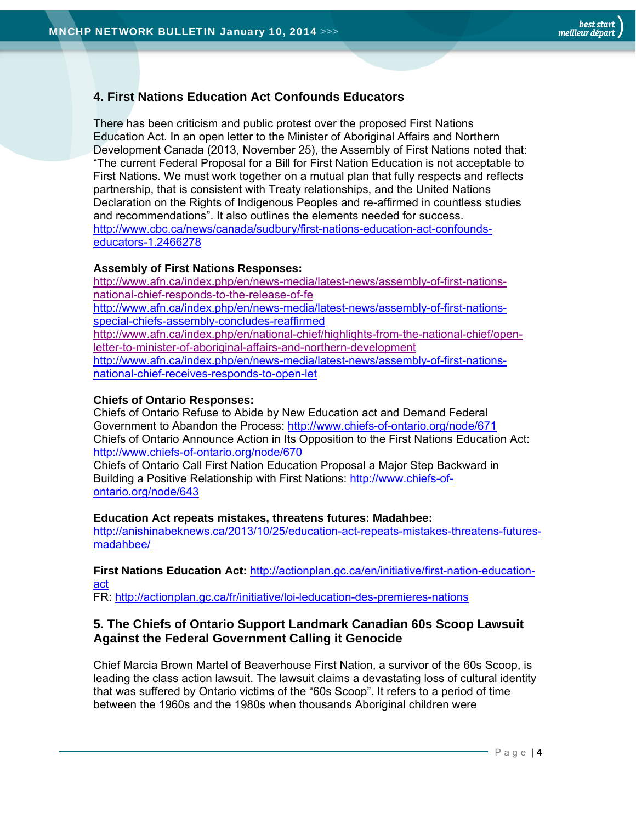## **4. First Nations Education Act Confounds Educators**

There has been criticism and public protest over the proposed First Nations Education Act. In an open letter to the Minister of Aboriginal Affairs and Northern Development Canada (2013, November 25), the Assembly of First Nations noted that: "The current Federal Proposal for a Bill for First Nation Education is not acceptable to First Nations. We must work together on a mutual plan that fully respects and reflects partnership, that is consistent with Treaty relationships, and the United Nations Declaration on the Rights of Indigenous Peoples and re-affirmed in countless studies and recommendations". It also outlines the elements needed for success. http://www.cbc.ca/news/canada/sudbury/first-nations-education-act-confoundseducators-1.2466278

#### **Assembly of First Nations Responses:**

http://www.afn.ca/index.php/en/news-media/latest-news/assembly-of-first-nationsnational-chief-responds-to-the-release-of-fe http://www.afn.ca/index.php/en/news-media/latest-news/assembly-of-first-nationsspecial-chiefs-assembly-concludes-reaffirmed http://www.afn.ca/index.php/en/national-chief/highlights-from-the-national-chief/openletter-to-minister-of-aboriginal-affairs-and-northern-development http://www.afn.ca/index.php/en/news-media/latest-news/assembly-of-first-nationsnational-chief-receives-responds-to-open-let

#### **Chiefs of Ontario Responses:**

Chiefs of Ontario Refuse to Abide by New Education act and Demand Federal Government to Abandon the Process: http://www.chiefs-of-ontario.org/node/671 Chiefs of Ontario Announce Action in Its Opposition to the First Nations Education Act: http://www.chiefs-of-ontario.org/node/670

Chiefs of Ontario Call First Nation Education Proposal a Major Step Backward in Building a Positive Relationship with First Nations: http://www.chiefs-ofontario.org/node/643

#### **Education Act repeats mistakes, threatens futures: Madahbee:**

http://anishinabeknews.ca/2013/10/25/education-act-repeats-mistakes-threatens-futuresmadahbee/

#### **First Nations Education Act:** http://actionplan.gc.ca/en/initiative/first-nation-educationact

FR: http://actionplan.gc.ca/fr/initiative/loi-leducation-des-premieres-nations

#### **5. The Chiefs of Ontario Support Landmark Canadian 60s Scoop Lawsuit Against the Federal Government Calling it Genocide**

Chief Marcia Brown Martel of Beaverhouse First Nation, a survivor of the 60s Scoop, is leading the class action lawsuit. The lawsuit claims a devastating loss of cultural identity that was suffered by Ontario victims of the "60s Scoop". It refers to a period of time between the 1960s and the 1980s when thousands Aboriginal children were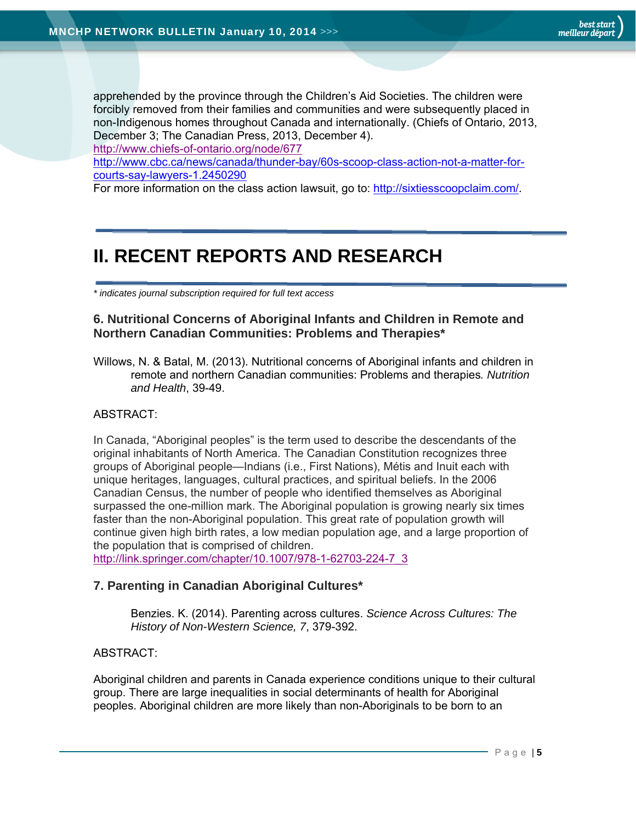apprehended by the province through the Children's Aid Societies. The children were forcibly removed from their families and communities and were subsequently placed in non-Indigenous homes throughout Canada and internationally. (Chiefs of Ontario, 2013, December 3; The Canadian Press, 2013, December 4). http://www.chiefs-of-ontario.org/node/677

http://www.cbc.ca/news/canada/thunder-bay/60s-scoop-class-action-not-a-matter-forcourts-say-lawyers-1.2450290

For more information on the class action lawsuit, go to: http://sixtiesscoopclaim.com/.

# **II. RECENT REPORTS AND RESEARCH**

*\* indicates journal subscription required for full text access*

#### **6. Nutritional Concerns of Aboriginal Infants and Children in Remote and Northern Canadian Communities: Problems and Therapies\***

Willows, N. & Batal, M. (2013). Nutritional concerns of Aboriginal infants and children in remote and northern Canadian communities: Problems and therapies*. Nutrition and Health*, 39-49.

#### ABSTRACT:

In Canada, "Aboriginal peoples" is the term used to describe the descendants of the original inhabitants of North America. The Canadian Constitution recognizes three groups of Aboriginal people—Indians (i.e., First Nations), Métis and Inuit each with unique heritages, languages, cultural practices, and spiritual beliefs. In the 2006 Canadian Census, the number of people who identified themselves as Aboriginal surpassed the one-million mark. The Aboriginal population is growing nearly six times faster than the non-Aboriginal population. This great rate of population growth will continue given high birth rates, a low median population age, and a large proportion of the population that is comprised of children.

http://link.springer.com/chapter/10.1007/978-1-62703-224-7\_3

### **7. Parenting in Canadian Aboriginal Cultures\***

Benzies. K. (2014). Parenting across cultures. *Science Across Cultures: The History of Non-Western Science, 7*, 379-392.

#### ABSTRACT:

Aboriginal children and parents in Canada experience conditions unique to their cultural group. There are large inequalities in social determinants of health for Aboriginal peoples. Aboriginal children are more likely than non-Aboriginals to be born to an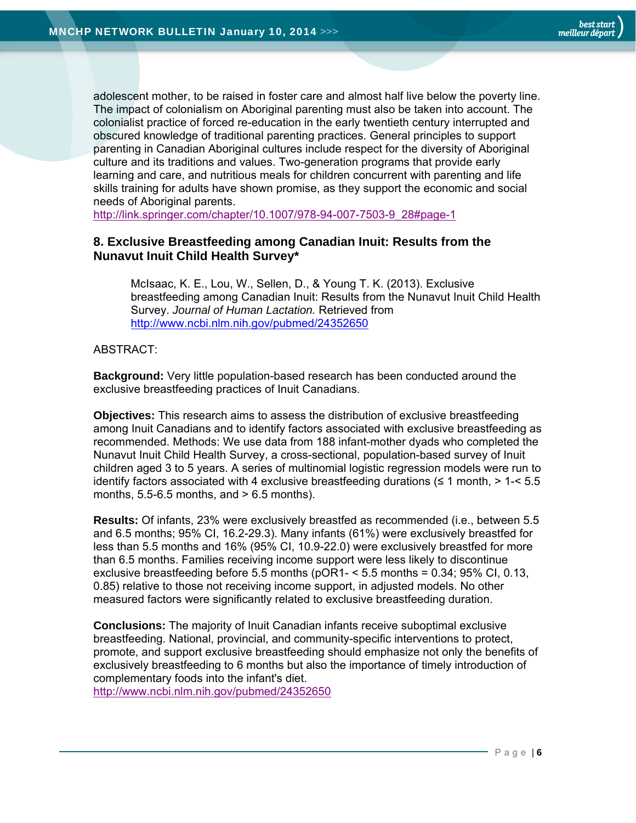adolescent mother, to be raised in foster care and almost half live below the poverty line. The impact of colonialism on Aboriginal parenting must also be taken into account. The colonialist practice of forced re-education in the early twentieth century interrupted and obscured knowledge of traditional parenting practices. General principles to support parenting in Canadian Aboriginal cultures include respect for the diversity of Aboriginal culture and its traditions and values. Two-generation programs that provide early learning and care, and nutritious meals for children concurrent with parenting and life skills training for adults have shown promise, as they support the economic and social needs of Aboriginal parents.

http://link.springer.com/chapter/10.1007/978-94-007-7503-9\_28#page-1

#### **8. Exclusive Breastfeeding among Canadian Inuit: Results from the Nunavut Inuit Child Health Survey\***

McIsaac, K. E., Lou, W., Sellen, D., & Young T. K. (2013). Exclusive breastfeeding among Canadian Inuit: Results from the Nunavut Inuit Child Health Survey. *Journal of Human Lactation.* Retrieved from http://www.ncbi.nlm.nih.gov/pubmed/24352650

#### ABSTRACT:

**Background:** Very little population-based research has been conducted around the exclusive breastfeeding practices of Inuit Canadians.

**Objectives:** This research aims to assess the distribution of exclusive breastfeeding among Inuit Canadians and to identify factors associated with exclusive breastfeeding as recommended. Methods: We use data from 188 infant-mother dyads who completed the Nunavut Inuit Child Health Survey, a cross-sectional, population-based survey of Inuit children aged 3 to 5 years. A series of multinomial logistic regression models were run to identify factors associated with 4 exclusive breastfeeding durations ( $\leq 1$  month,  $> 1$ - $\leq 5.5$ months,  $5.5-6.5$  months, and  $> 6.5$  months).

**Results:** Of infants, 23% were exclusively breastfed as recommended (i.e., between 5.5 and 6.5 months; 95% CI, 16.2-29.3). Many infants (61%) were exclusively breastfed for less than 5.5 months and 16% (95% CI, 10.9-22.0) were exclusively breastfed for more than 6.5 months. Families receiving income support were less likely to discontinue exclusive breastfeeding before 5.5 months ( $pOR1 - 5.5$  months = 0.34; 95% CI, 0.13, 0.85) relative to those not receiving income support, in adjusted models. No other measured factors were significantly related to exclusive breastfeeding duration.

**Conclusions:** The majority of Inuit Canadian infants receive suboptimal exclusive breastfeeding. National, provincial, and community-specific interventions to protect, promote, and support exclusive breastfeeding should emphasize not only the benefits of exclusively breastfeeding to 6 months but also the importance of timely introduction of complementary foods into the infant's diet.

http://www.ncbi.nlm.nih.gov/pubmed/24352650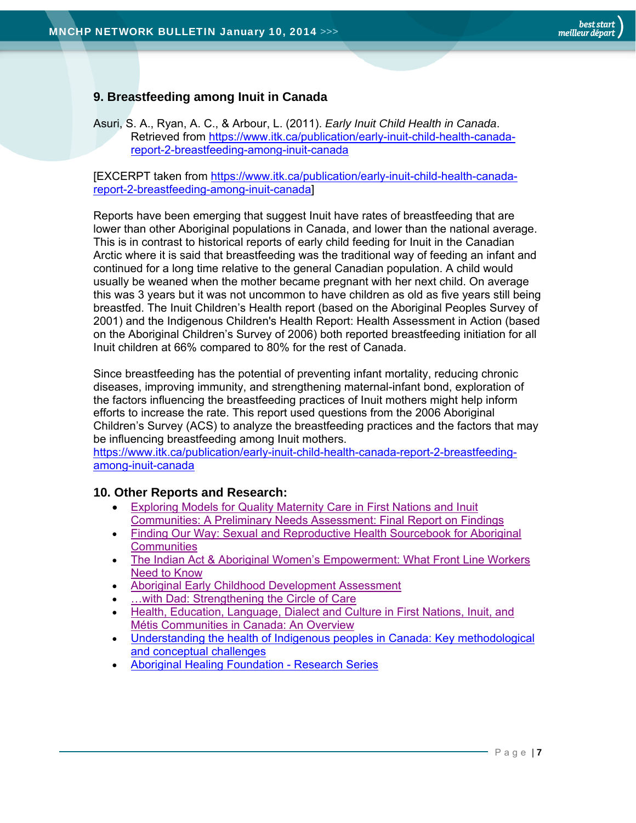# **9. Breastfeeding among Inuit in Canada**

Asuri, S. A., Ryan, A. C., & Arbour, L. (2011). *Early Inuit Child Health in Canada*. Retrieved from https://www.itk.ca/publication/early-inuit-child-health-canadareport-2-breastfeeding-among-inuit-canada

[EXCERPT taken from https://www.itk.ca/publication/early-inuit-child-health-canadareport-2-breastfeeding-among-inuit-canada]

Reports have been emerging that suggest Inuit have rates of breastfeeding that are lower than other Aboriginal populations in Canada, and lower than the national average. This is in contrast to historical reports of early child feeding for Inuit in the Canadian Arctic where it is said that breastfeeding was the traditional way of feeding an infant and continued for a long time relative to the general Canadian population. A child would usually be weaned when the mother became pregnant with her next child. On average this was 3 years but it was not uncommon to have children as old as five years still being breastfed. The Inuit Children's Health report (based on the Aboriginal Peoples Survey of 2001) and the Indigenous Children's Health Report: Health Assessment in Action (based on the Aboriginal Children's Survey of 2006) both reported breastfeeding initiation for all Inuit children at 66% compared to 80% for the rest of Canada.

Since breastfeeding has the potential of preventing infant mortality, reducing chronic diseases, improving immunity, and strengthening maternal-infant bond, exploration of the factors influencing the breastfeeding practices of Inuit mothers might help inform efforts to increase the rate. This report used questions from the 2006 Aboriginal Children's Survey (ACS) to analyze the breastfeeding practices and the factors that may be influencing breastfeeding among Inuit mothers.

https://www.itk.ca/publication/early-inuit-child-health-canada-report-2-breastfeedingamong-inuit-canada

### **10. Other Reports and Research:**

- Exploring Models for Quality Maternity Care in First Nations and Inuit Communities: A Preliminary Needs Assessment: Final Report on Findings
- Finding Our Way: Sexual and Reproductive Health Sourcebook for Aboriginal **Communities**
- The Indian Act & Aboriginal Women's Empowerment: What Front Line Workers Need to Know
- Aboriginal Early Childhood Development Assessment
- …with Dad: Strengthening the Circle of Care
- Health, Education, Language, Dialect and Culture in First Nations, Inuit, and Métis Communities in Canada: An Overview
- Understanding the health of Indigenous peoples in Canada: Key methodological and conceptual challenges
- Aboriginal Healing Foundation Research Series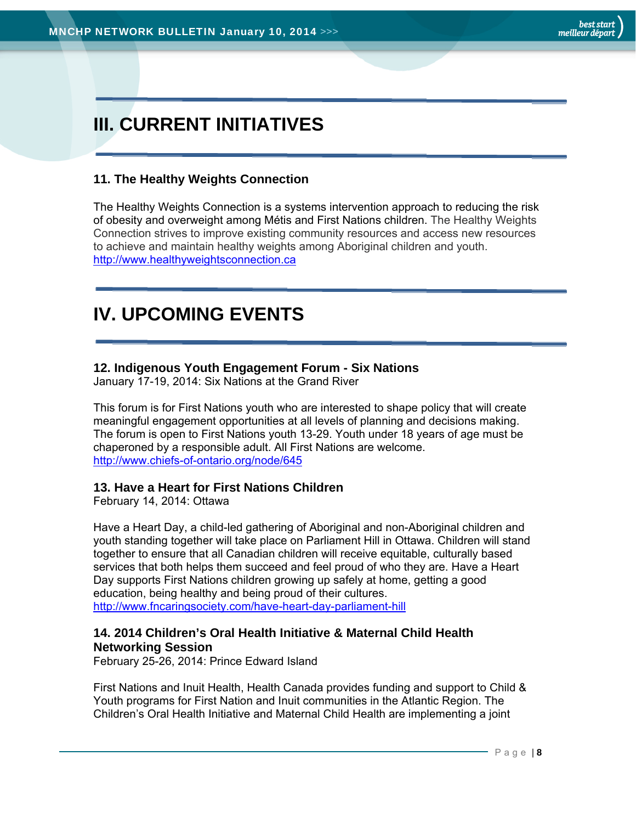# **III. CURRENT INITIATIVES**

## **11. The Healthy Weights Connection**

The Healthy Weights Connection is a systems intervention approach to reducing the risk of obesity and overweight among Métis and First Nations children. The Healthy Weights Connection strives to improve existing community resources and access new resources to achieve and maintain healthy weights among Aboriginal children and youth. http://www.healthyweightsconnection.ca

# **IV. UPCOMING EVENTS**

# **12. Indigenous Youth Engagement Forum - Six Nations**

January 17-19, 2014: Six Nations at the Grand River

This forum is for First Nations youth who are interested to shape policy that will create meaningful engagement opportunities at all levels of planning and decisions making. The forum is open to First Nations youth 13-29. Youth under 18 years of age must be chaperoned by a responsible adult. All First Nations are welcome. http://www.chiefs-of-ontario.org/node/645

### **13. Have a Heart for First Nations Children**

February 14, 2014: Ottawa

Have a Heart Day, a child-led gathering of Aboriginal and non-Aboriginal children and youth standing together will take place on Parliament Hill in Ottawa. Children will stand together to ensure that all Canadian children will receive equitable, culturally based services that both helps them succeed and feel proud of who they are. Have a Heart Day supports First Nations children growing up safely at home, getting a good education, being healthy and being proud of their cultures. http://www.fncaringsociety.com/have-heart-day-parliament-hill

### **14. 2014 Children's Oral Health Initiative & Maternal Child Health Networking Session**

February 25-26, 2014: Prince Edward Island

First Nations and Inuit Health, Health Canada provides funding and support to Child & Youth programs for First Nation and Inuit communities in the Atlantic Region. The Children's Oral Health Initiative and Maternal Child Health are implementing a joint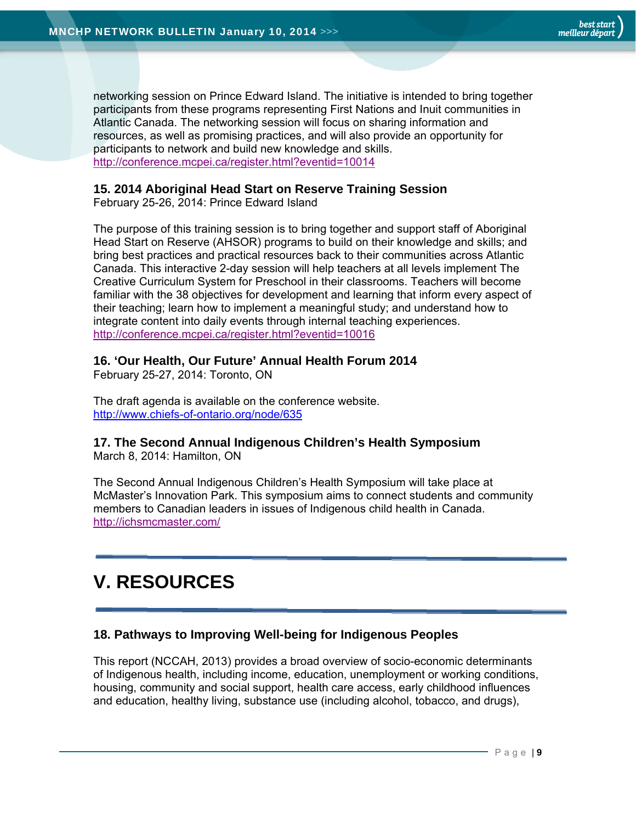networking session on Prince Edward Island. The initiative is intended to bring together participants from these programs representing First Nations and Inuit communities in Atlantic Canada. The networking session will focus on sharing information and resources, as well as promising practices, and will also provide an opportunity for participants to network and build new knowledge and skills. http://conference.mcpei.ca/register.html?eventid=10014

#### **15. 2014 Aboriginal Head Start on Reserve Training Session**

February 25-26, 2014: Prince Edward Island

The purpose of this training session is to bring together and support staff of Aboriginal Head Start on Reserve (AHSOR) programs to build on their knowledge and skills; and bring best practices and practical resources back to their communities across Atlantic Canada. This interactive 2-day session will help teachers at all levels implement The Creative Curriculum System for Preschool in their classrooms. Teachers will become familiar with the 38 objectives for development and learning that inform every aspect of their teaching; learn how to implement a meaningful study; and understand how to integrate content into daily events through internal teaching experiences. http://conference.mcpei.ca/register.html?eventid=10016

#### **16. 'Our Health, Our Future' Annual Health Forum 2014**

February 25-27, 2014: Toronto, ON

The draft agenda is available on the conference website. http://www.chiefs-of-ontario.org/node/635

### **17. The Second Annual Indigenous Children's Health Symposium**

March 8, 2014: Hamilton, ON

The Second Annual Indigenous Children's Health Symposium will take place at McMaster's Innovation Park. This symposium aims to connect students and community members to Canadian leaders in issues of Indigenous child health in Canada. http://ichsmcmaster.com/

# **V. RESOURCES**

### **18. Pathways to Improving Well-being for Indigenous Peoples**

This report (NCCAH, 2013) provides a broad overview of socio-economic determinants of Indigenous health, including income, education, unemployment or working conditions, housing, community and social support, health care access, early childhood influences and education, healthy living, substance use (including alcohol, tobacco, and drugs),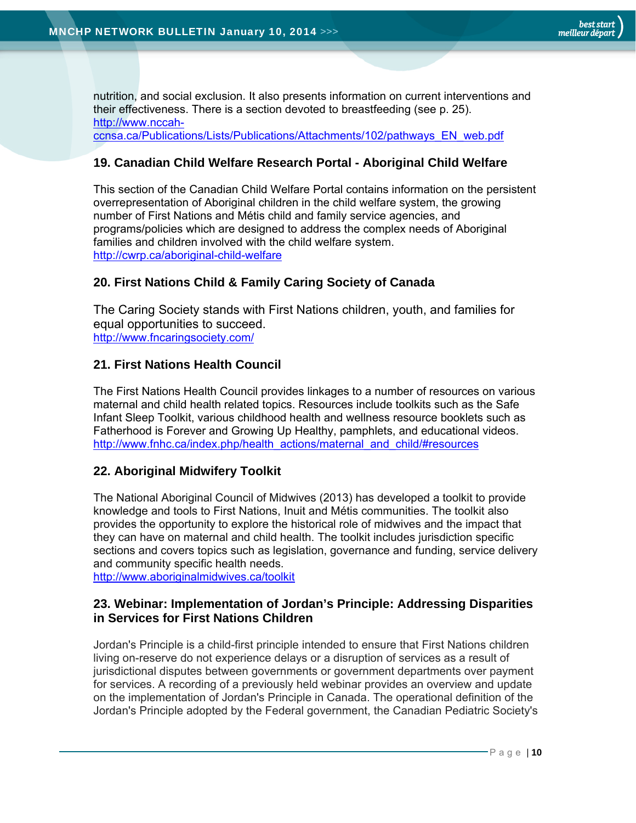nutrition, and social exclusion. It also presents information on current interventions and their effectiveness. There is a section devoted to breastfeeding (see p. 25). http://www.nccahccnsa.ca/Publications/Lists/Publications/Attachments/102/pathways\_EN\_web.pdf

#### **19. Canadian Child Welfare Research Portal - Aboriginal Child Welfare**

This section of the Canadian Child Welfare Portal contains information on the persistent overrepresentation of Aboriginal children in the child welfare system, the growing number of First Nations and Métis child and family service agencies, and programs/policies which are designed to address the complex needs of Aboriginal families and children involved with the child welfare system. http://cwrp.ca/aboriginal-child-welfare

#### **20. First Nations Child & Family Caring Society of Canada**

The Caring Society stands with First Nations children, youth, and families for equal opportunities to succeed. http://www.fncaringsociety.com/

#### **21. First Nations Health Council**

The First Nations Health Council provides linkages to a number of resources on various maternal and child health related topics. Resources include toolkits such as the Safe Infant Sleep Toolkit, various childhood health and wellness resource booklets such as Fatherhood is Forever and Growing Up Healthy, pamphlets, and educational videos. http://www.fnhc.ca/index.php/health\_actions/maternal\_and\_child/#resources

#### **22. Aboriginal Midwifery Toolkit**

The National Aboriginal Council of Midwives (2013) has developed a toolkit to provide knowledge and tools to First Nations, Inuit and Métis communities. The toolkit also provides the opportunity to explore the historical role of midwives and the impact that they can have on maternal and child health. The toolkit includes jurisdiction specific sections and covers topics such as legislation, governance and funding, service delivery and community specific health needs.

http://www.aboriginalmidwives.ca/toolkit

#### **23. Webinar: Implementation of Jordan's Principle: Addressing Disparities in Services for First Nations Children**

Jordan's Principle is a child-first principle intended to ensure that First Nations children living on-reserve do not experience delays or a disruption of services as a result of jurisdictional disputes between governments or government departments over payment for services. A recording of a previously held webinar provides an overview and update on the implementation of Jordan's Principle in Canada. The operational definition of the Jordan's Principle adopted by the Federal government, the Canadian Pediatric Society's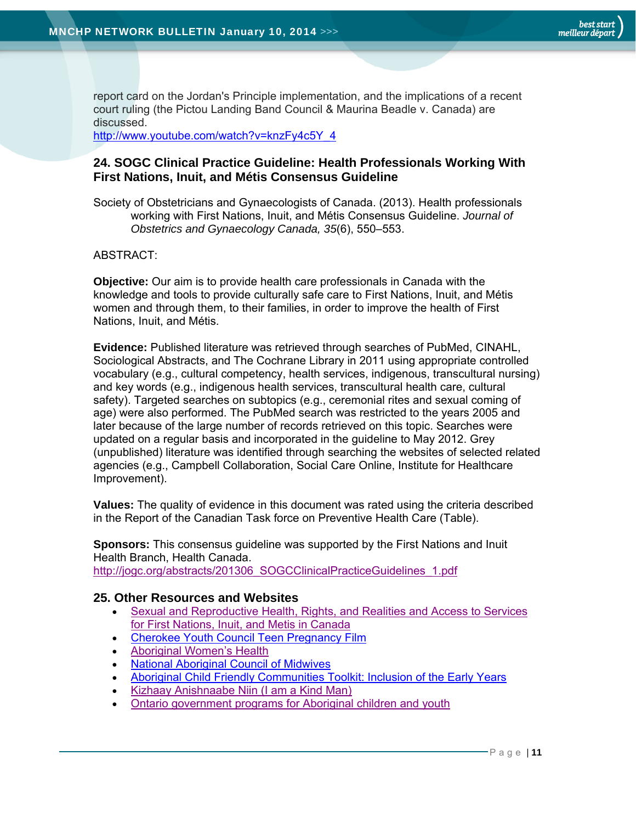report card on the Jordan's Principle implementation, and the implications of a recent court ruling (the Pictou Landing Band Council & Maurina Beadle v. Canada) are discussed.

http://www.youtube.com/watch?v=knzFy4c5Y\_4

#### **24. SOGC Clinical Practice Guideline: Health Professionals Working With First Nations, Inuit, and Métis Consensus Guideline**

Society of Obstetricians and Gynaecologists of Canada. (2013). Health professionals working with First Nations, Inuit, and Métis Consensus Guideline. *Journal of Obstetrics and Gynaecology Canada, 35*(6), 550–553.

#### ABSTRACT:

**Objective:** Our aim is to provide health care professionals in Canada with the knowledge and tools to provide culturally safe care to First Nations, Inuit, and Métis women and through them, to their families, in order to improve the health of First Nations, Inuit, and Métis.

**Evidence:** Published literature was retrieved through searches of PubMed, CINAHL, Sociological Abstracts, and The Cochrane Library in 2011 using appropriate controlled vocabulary (e.g., cultural competency, health services, indigenous, transcultural nursing) and key words (e.g., indigenous health services, transcultural health care, cultural safety). Targeted searches on subtopics (e.g., ceremonial rites and sexual coming of age) were also performed. The PubMed search was restricted to the years 2005 and later because of the large number of records retrieved on this topic. Searches were updated on a regular basis and incorporated in the guideline to May 2012. Grey (unpublished) literature was identified through searching the websites of selected related agencies (e.g., Campbell Collaboration, Social Care Online, Institute for Healthcare Improvement).

**Values:** The quality of evidence in this document was rated using the criteria described in the Report of the Canadian Task force on Preventive Health Care (Table).

**Sponsors:** This consensus guideline was supported by the First Nations and Inuit Health Branch, Health Canada. http://jogc.org/abstracts/201306\_SOGCClinicalPracticeGuidelines\_1.pdf

#### **25. Other Resources and Websites**

- Sexual and Reproductive Health, Rights, and Realities and Access to Services for First Nations, Inuit, and Metis in Canada
- **Cherokee Youth Council Teen Pregnancy Film**
- Aboriginal Women's Health
- National Aboriginal Council of Midwives
- Aboriginal Child Friendly Communities Toolkit: Inclusion of the Early Years
- Kizhaay Anishnaabe Niin (I am a Kind Man)
- Ontario government programs for Aboriginal children and youth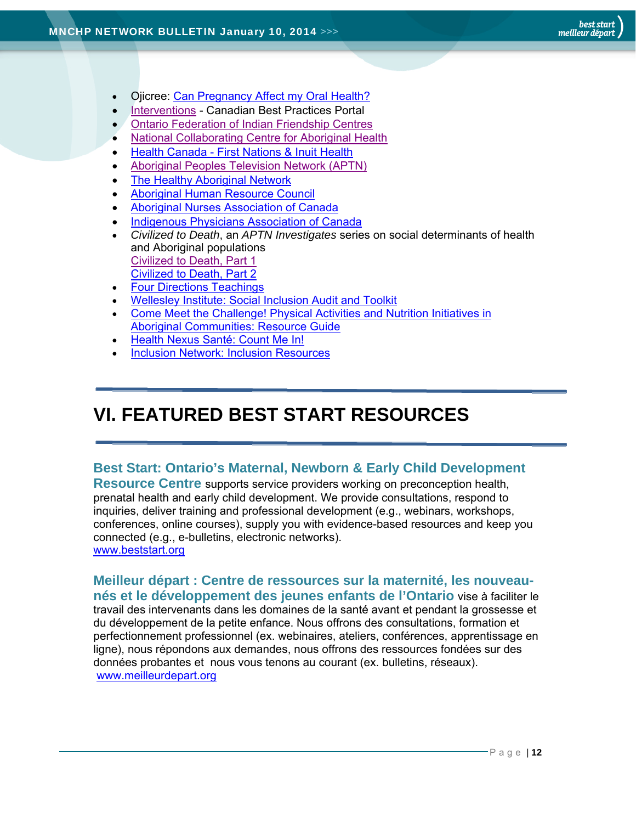- Ojicree: Can Pregnancy Affect my Oral Health?
- **Interventions Canadian Best Practices Portal**
- Ontario Federation of Indian Friendship Centres
- National Collaborating Centre for Aboriginal Health
- Health Canada First Nations & Inuit Health
- Aboriginal Peoples Television Network (APTN)
- The Healthy Aboriginal Network
- Aboriginal Human Resource Council
- Aboriginal Nurses Association of Canada
- Indigenous Physicians Association of Canada
- *Civilized to Death*, an *APTN Investigates* series on social determinants of health and Aboriginal populations Civilized to Death, Part 1 Civilized to Death, Part 2
- Four Directions Teachings
- Wellesley Institute: Social Inclusion Audit and Toolkit
- Come Meet the Challenge! Physical Activities and Nutrition Initiatives in Aboriginal Communities: Resource Guide
- Health Nexus Santé: Count Me In!
- Inclusion Network: Inclusion Resources

# **VI. FEATURED BEST START RESOURCES**

# **Best Start: Ontario's Maternal, Newborn & Early Child Development**

**Resource Centre** supports service providers working on preconception health, prenatal health and early child development. We provide consultations, respond to inquiries, deliver training and professional development (e.g., webinars, workshops, conferences, online courses), supply you with evidence-based resources and keep you connected (e.g., e-bulletins, electronic networks). www.beststart.org

**Meilleur départ : Centre de ressources sur la maternité, les nouveaunés et le développement des jeunes enfants de l'Ontario** vise à faciliter le travail des intervenants dans les domaines de la santé avant et pendant la grossesse et du développement de la petite enfance. Nous offrons des consultations, formation et perfectionnement professionnel (ex. webinaires, ateliers, conférences, apprentissage en ligne), nous répondons aux demandes, nous offrons des ressources fondées sur des données probantes et nous vous tenons au courant (ex. bulletins, réseaux). www.meilleurdepart.org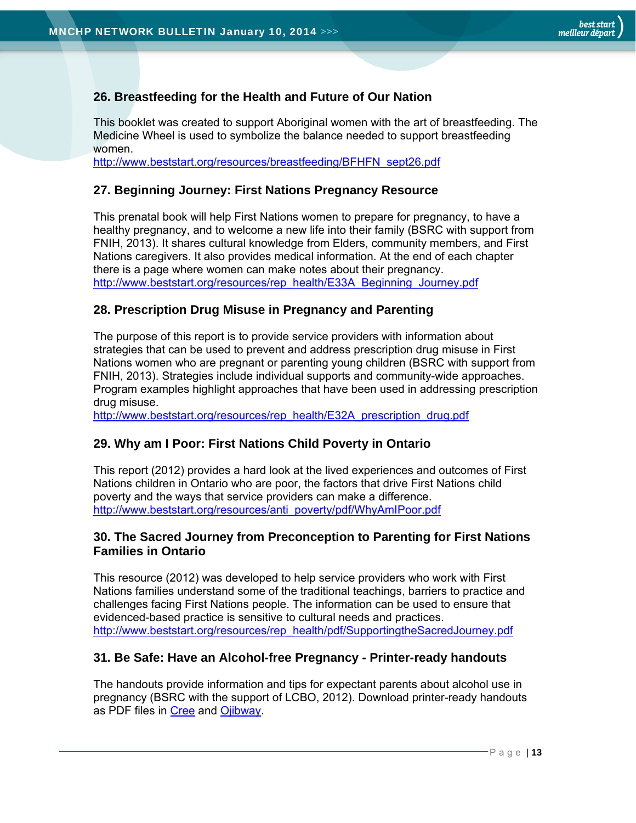# **26. Breastfeeding for the Health and Future of Our Nation**

This booklet was created to support Aboriginal women with the art of breastfeeding. The Medicine Wheel is used to symbolize the balance needed to support breastfeeding women.

http://www.beststart.org/resources/breastfeeding/BFHFN\_sept26.pdf

#### **27. Beginning Journey: First Nations Pregnancy Resource**

This prenatal book will help First Nations women to prepare for pregnancy, to have a healthy pregnancy, and to welcome a new life into their family (BSRC with support from FNIH, 2013). It shares cultural knowledge from Elders, community members, and First Nations caregivers. It also provides medical information. At the end of each chapter there is a page where women can make notes about their pregnancy. http://www.beststart.org/resources/rep\_health/E33A\_Beginning\_Journey.pdf

#### **28. Prescription Drug Misuse in Pregnancy and Parenting**

The purpose of this report is to provide service providers with information about strategies that can be used to prevent and address prescription drug misuse in First Nations women who are pregnant or parenting young children (BSRC with support from FNIH, 2013). Strategies include individual supports and community-wide approaches. Program examples highlight approaches that have been used in addressing prescription drug misuse.

http://www.beststart.org/resources/rep\_health/E32A\_prescription\_drug.pdf

#### **29. Why am I Poor: First Nations Child Poverty in Ontario**

This report (2012) provides a hard look at the lived experiences and outcomes of First Nations children in Ontario who are poor, the factors that drive First Nations child poverty and the ways that service providers can make a difference. http://www.beststart.org/resources/anti\_poverty/pdf/WhyAmIPoor.pdf

#### **30. The Sacred Journey from Preconception to Parenting for First Nations Families in Ontario**

This resource (2012) was developed to help service providers who work with First Nations families understand some of the traditional teachings, barriers to practice and challenges facing First Nations people. The information can be used to ensure that evidenced-based practice is sensitive to cultural needs and practices. http://www.beststart.org/resources/rep\_health/pdf/SupportingtheSacredJourney.pdf

#### **31. Be Safe: Have an Alcohol-free Pregnancy - Printer-ready handouts**

The handouts provide information and tips for expectant parents about alcohol use in pregnancy (BSRC with the support of LCBO, 2012). Download printer-ready handouts as PDF files in Cree and Ojibway.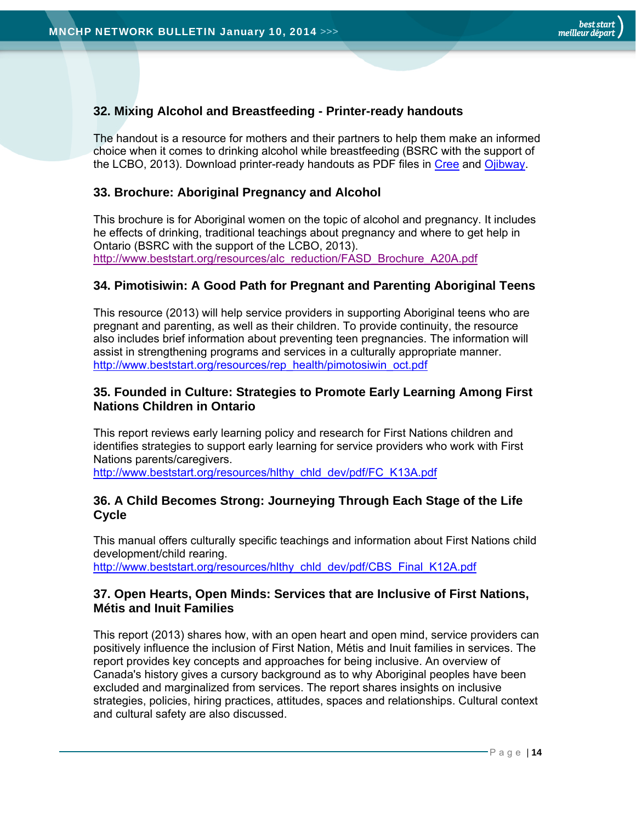## **32. Mixing Alcohol and Breastfeeding - Printer-ready handouts**

The handout is a resource for mothers and their partners to help them make an informed choice when it comes to drinking alcohol while breastfeeding (BSRC with the support of the LCBO, 2013). Download printer-ready handouts as PDF files in Cree and Ojibway.

### **33. Brochure: Aboriginal Pregnancy and Alcohol**

This brochure is for Aboriginal women on the topic of alcohol and pregnancy. It includes he effects of drinking, traditional teachings about pregnancy and where to get help in Ontario (BSRC with the support of the LCBO, 2013). http://www.beststart.org/resources/alc\_reduction/FASD\_Brochure\_A20A.pdf

#### **34. Pimotisiwin: A Good Path for Pregnant and Parenting Aboriginal Teens**

This resource (2013) will help service providers in supporting Aboriginal teens who are pregnant and parenting, as well as their children. To provide continuity, the resource also includes brief information about preventing teen pregnancies. The information will assist in strengthening programs and services in a culturally appropriate manner. http://www.beststart.org/resources/rep\_health/pimotosiwin\_oct.pdf

#### **35. Founded in Culture: Strategies to Promote Early Learning Among First Nations Children in Ontario**

This report reviews early learning policy and research for First Nations children and identifies strategies to support early learning for service providers who work with First Nations parents/caregivers.

http://www.beststart.org/resources/hlthy\_chld\_dev/pdf/FC\_K13A.pdf

#### **36. A Child Becomes Strong: Journeying Through Each Stage of the Life Cycle**

This manual offers culturally specific teachings and information about First Nations child development/child rearing. http://www.beststart.org/resources/hlthy\_chld\_dev/pdf/CBS\_Final\_K12A.pdf

#### **37. Open Hearts, Open Minds: Services that are Inclusive of First Nations, Métis and Inuit Families**

This report (2013) shares how, with an open heart and open mind, service providers can positively influence the inclusion of First Nation, Métis and Inuit families in services. The report provides key concepts and approaches for being inclusive. An overview of Canada's history gives a cursory background as to why Aboriginal peoples have been excluded and marginalized from services. The report shares insights on inclusive strategies, policies, hiring practices, attitudes, spaces and relationships. Cultural context and cultural safety are also discussed.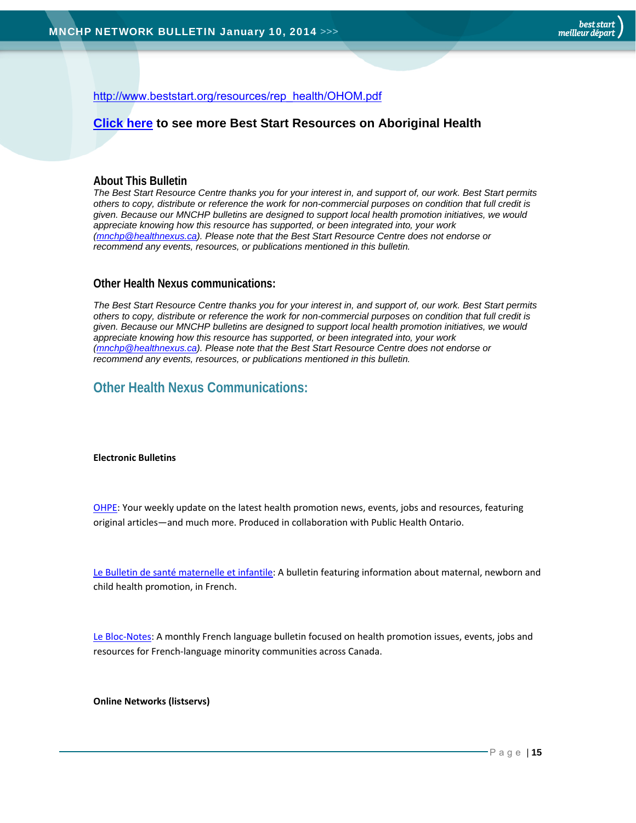http://www.beststart.org/resources/rep\_health/OHOM.pdf

#### **Click here to see more Best Start Resources on Aboriginal Health**

#### **About This Bulletin**

*The Best Start Resource Centre thanks you for your interest in, and support of, our work. Best Start permits others to copy, distribute or reference the work for non-commercial purposes on condition that full credit is given. Because our MNCHP bulletins are designed to support local health promotion initiatives, we would appreciate knowing how this resource has supported, or been integrated into, your work (mnchp@healthnexus.ca). Please note that the Best Start Resource Centre does not endorse or recommend any events, resources, or publications mentioned in this bulletin.* 

#### **Other Health Nexus communications:**

*The Best Start Resource Centre thanks you for your interest in, and support of, our work. Best Start permits others to copy, distribute or reference the work for non-commercial purposes on condition that full credit is given. Because our MNCHP bulletins are designed to support local health promotion initiatives, we would appreciate knowing how this resource has supported, or been integrated into, your work (mnchp@healthnexus.ca). Please note that the Best Start Resource Centre does not endorse or recommend any events, resources, or publications mentioned in this bulletin.* 

# **Other Health Nexus Communications:**

#### **Electronic Bulletins**

OHPE: Your weekly update on the latest health promotion news, events, jobs and resources, featuring original articles—and much more. Produced in collaboration with Public Health Ontario.

Le Bulletin de santé maternelle et infantile: A bulletin featuring information about maternal, newborn and child health promotion, in French.

Le Bloc-Notes: A monthly French language bulletin focused on health promotion issues, events, jobs and resources for French‐language minority communities across Canada.

**Online Networks (listservs)**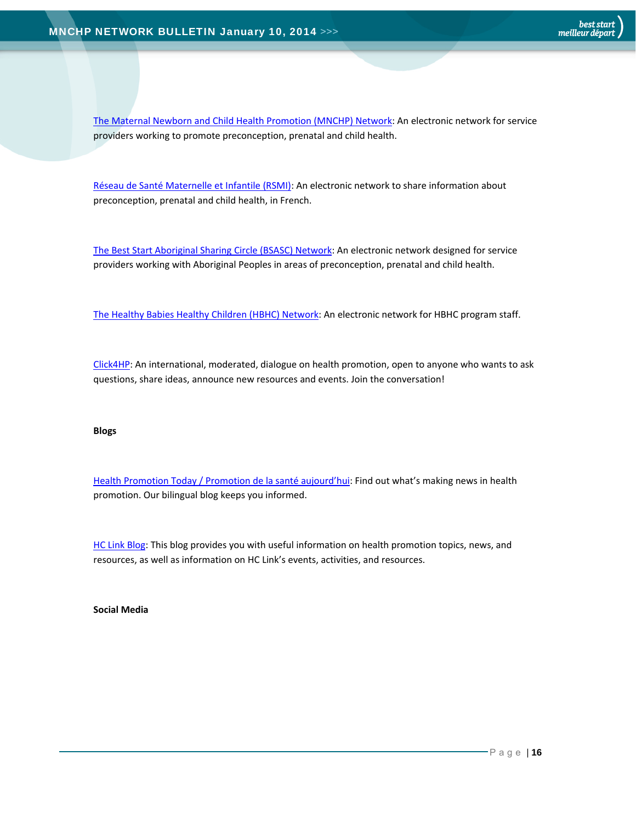The Maternal Newborn and Child Health Promotion (MNCHP) Network: An electronic network for service providers working to promote preconception, prenatal and child health.

Réseau de Santé Maternelle et Infantile (RSMI): An electronic network to share information about preconception, prenatal and child health, in French.

The Best Start Aboriginal Sharing Circle (BSASC) Network: An electronic network designed for service providers working with Aboriginal Peoples in areas of preconception, prenatal and child health.

The Healthy Babies Healthy Children (HBHC) Network: An electronic network for HBHC program staff.

Click4HP: An international, moderated, dialogue on health promotion, open to anyone who wants to ask questions, share ideas, announce new resources and events. Join the conversation!

#### **Blogs**

Health Promotion Today / Promotion de la santé aujourd'hui: Find out what's making news in health promotion. Our bilingual blog keeps you informed.

HC Link Blog: This blog provides you with useful information on health promotion topics, news, and resources, as well as information on HC Link's events, activities, and resources.

**Social Media**